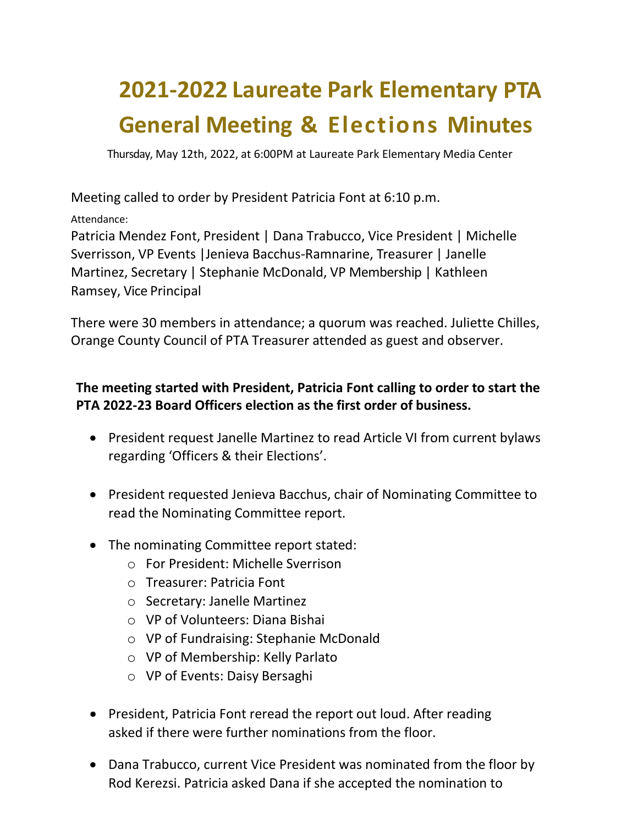## **2021-2022 Laureate Park Elementary PTA General Meeting & Elections Minutes**

Thursday, May 12th, 2022, at 6:00PM at Laureate Park Elementary Media Center

Meeting called to order by President Patricia Font at 6:10 p.m.

Attendance:

Patricia Mendez Font, President | Dana Trabucco, Vice President | Michelle Sverrisson, VP Events |Jenieva Bacchus-Ramnarine, Treasurer | Janelle Martinez, Secretary | Stephanie McDonald, VP Membership | Kathleen Ramsey, Vice Principal

There were 30 members in attendance; a quorum was reached. Juliette Chilles, Orange County Council of PTA Treasurer attended as guest and observer.

## **The meeting started with President, Patricia Font calling to order to start the PTA 2022-23 Board Officers election as the first order of business.**

- President request Janelle Martinez to read Article VI from current bylaws regarding 'Officers & their Elections'.
- President requested Jenieva Bacchus, chair of Nominating Committee to read the Nominating Committee report.
- The nominating Committee report stated:
	- o For President: Michelle Sverrison
	- o Treasurer: Patricia Font
	- o Secretary: Janelle Martinez
	- o VP of Volunteers: Diana Bishai
	- o VP of Fundraising: Stephanie McDonald
	- o VP of Membership: Kelly Parlato
	- o VP of Events: Daisy Bersaghi
- President, Patricia Font reread the report out loud. After reading asked if there were further nominations from the floor.
- Dana Trabucco, current Vice President was nominated from the floor by Rod Kerezsi. Patricia asked Dana if she accepted the nomination to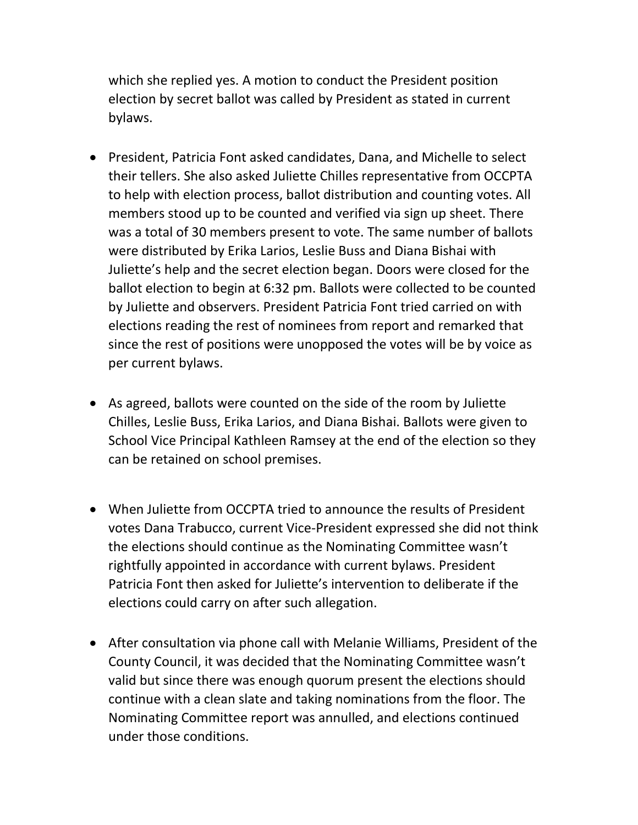which she replied yes. A motion to conduct the President position election by secret ballot was called by President as stated in current bylaws.

- President, Patricia Font asked candidates, Dana, and Michelle to select their tellers. She also asked Juliette Chilles representative from OCCPTA to help with election process, ballot distribution and counting votes. All members stood up to be counted and verified via sign up sheet. There was a total of 30 members present to vote. The same number of ballots were distributed by Erika Larios, Leslie Buss and Diana Bishai with Juliette's help and the secret election began. Doors were closed for the ballot election to begin at 6:32 pm. Ballots were collected to be counted by Juliette and observers. President Patricia Font tried carried on with elections reading the rest of nominees from report and remarked that since the rest of positions were unopposed the votes will be by voice as per current bylaws.
- As agreed, ballots were counted on the side of the room by Juliette Chilles, Leslie Buss, Erika Larios, and Diana Bishai. Ballots were given to School Vice Principal Kathleen Ramsey at the end of the election so they can be retained on school premises.
- When Juliette from OCCPTA tried to announce the results of President votes Dana Trabucco, current Vice-President expressed she did not think the elections should continue as the Nominating Committee wasn't rightfully appointed in accordance with current bylaws. President Patricia Font then asked for Juliette's intervention to deliberate if the elections could carry on after such allegation.
- After consultation via phone call with Melanie Williams, President of the County Council, it was decided that the Nominating Committee wasn't valid but since there was enough quorum present the elections should continue with a clean slate and taking nominations from the floor. The Nominating Committee report was annulled, and elections continued under those conditions.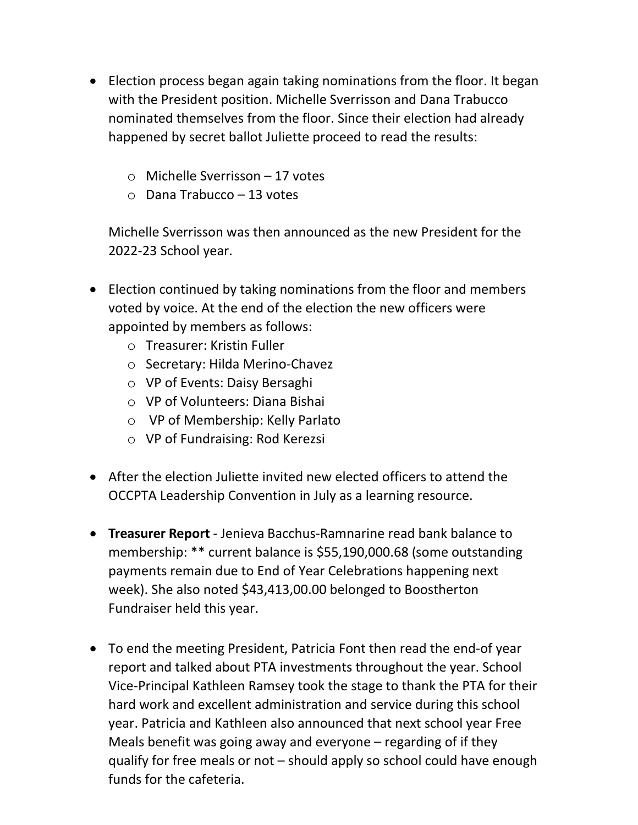- Election process began again taking nominations from the floor. It began with the President position. Michelle Sverrisson and Dana Trabucco nominated themselves from the floor. Since their election had already happened by secret ballot Juliette proceed to read the results:
	- o Michelle Sverrisson 17 votes
	- o Dana Trabucco 13 votes

Michelle Sverrisson was then announced as the new President for the 2022-23 School year.

- Election continued by taking nominations from the floor and members voted by voice. At the end of the election the new officers were appointed by members as follows:
	- o Treasurer: Kristin Fuller
	- o Secretary: Hilda Merino-Chavez
	- o VP of Events: Daisy Bersaghi
	- o VP of Volunteers: Diana Bishai
	- o VP of Membership: Kelly Parlato
	- o VP of Fundraising: Rod Kerezsi
- After the election Juliette invited new elected officers to attend the OCCPTA Leadership Convention in July as a learning resource.
- **Treasurer Report** Jenieva Bacchus-Ramnarine read bank balance to membership: \*\* current balance is \$55,190,000.68 (some outstanding payments remain due to End of Year Celebrations happening next week). She also noted \$43,413,00.00 belonged to Boostherton Fundraiser held this year.
- To end the meeting President, Patricia Font then read the end-of year report and talked about PTA investments throughout the year. School Vice-Principal Kathleen Ramsey took the stage to thank the PTA for their hard work and excellent administration and service during this school year. Patricia and Kathleen also announced that next school year Free Meals benefit was going away and everyone – regarding of if they qualify for free meals or not – should apply so school could have enough funds for the cafeteria.